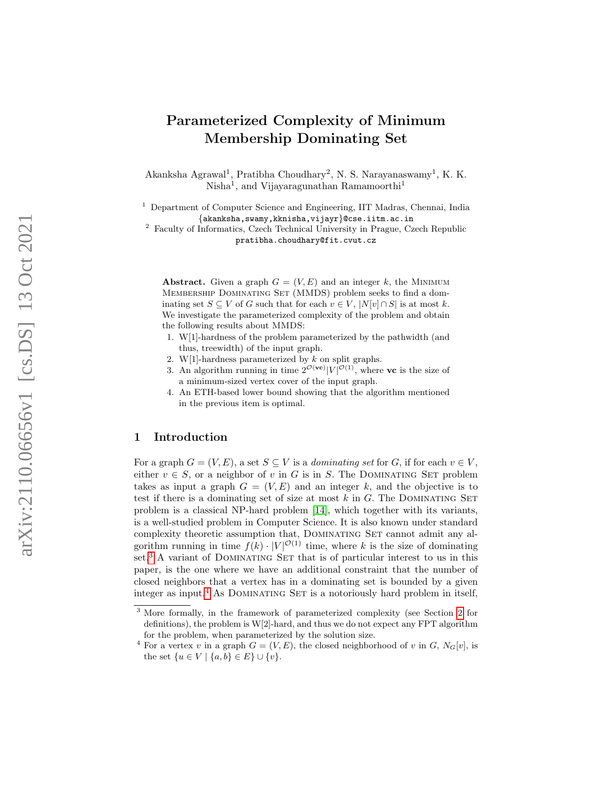# Parameterized Complexity of Minimum Membership Dominating Set

Akanksha Agrawal<sup>1</sup>, Pratibha Choudhary<sup>2</sup>, N. S. Narayanaswamy<sup>1</sup>, K. K. Nisha<sup>1</sup>, and Vijayaragunathan Ramamoorthi<sup>1</sup>

<sup>1</sup> Department of Computer Science and Engineering, IIT Madras, Chennai, India {akanksha,swamy,kknisha,vijayr}@cse.iitm.ac.in

<sup>2</sup> Faculty of Informatics, Czech Technical University in Prague, Czech Republic pratibha.choudhary@fit.cvut.cz

Abstract. Given a graph  $G = (V, E)$  and an integer k, the MINIMUM MEMBERSHIP DOMINATING SET (MMDS) problem seeks to find a dominating set  $S \subseteq V$  of G such that for each  $v \in V$ ,  $|N[v] \cap S|$  is at most k. We investigate the parameterized complexity of the problem and obtain the following results about MMDS :

- 1. W[1]-hardness of the problem parameterized by the pathwidth (and thus, treewidth) of the input graph.
- 2. W[1]-hardness parameterized by  $k$  on split graphs.
- 3. An algorithm running in time  $2^{\mathcal{O}(\text{vc})} |V|^{\mathcal{O}(1)}$ , where vc is the size of a minimum-sized vertex cover of the input graph.
- 4. An ETH-based lower bound showing that the algorithm mentioned in the previous item is optimal.

# 1 Introduction

For a graph  $G = (V, E)$ , a set  $S \subseteq V$  is a *dominating set* for G, if for each  $v \in V$ , either  $v \in S$ , or a neighbor of v in G is in S. The DOMINATING SET problem takes as input a graph  $G = (V, E)$  and an integer k, and the objective is to test if there is a dominating set of size at most  $k$  in  $G$ . The DOMINATING SET problem is a classical NP-hard problem [\[14\]](#page-21-0), which together with its variants, is a well-studied problem in Computer Science. It is also known under standard complexity theoretic assumption that, DOMINATING SET cannot admit any algorithm running in time  $f(k) \cdot |V|^{\mathcal{O}(1)}$  time, where k is the size of dominating set.<sup>[3](#page-0-0)</sup> A variant of DOMINATING SET that is of particular interest to us in this paper, is the one where we have an additional constraint that the number of closed neighbors that a vertex has in a dominating set is bounded by a given integer as input.<sup>[4](#page-0-1)</sup> As DOMINATING SET is a notoriously hard problem in itself,

<span id="page-0-0"></span><sup>&</sup>lt;sup>3</sup> More formally, in the framework of parameterized complexity (see Section [2](#page-3-0) for definitions), the problem is W[2]-hard, and thus we do not expect any FPT algorithm for the problem, when parameterized by the solution size.

<span id="page-0-1"></span><sup>&</sup>lt;sup>4</sup> For a vertex v in a graph  $G = (V, E)$ , the closed neighborhood of v in G,  $N_G[v]$ , is the set  $\{u \in V \mid \{a, b\} \in E\} \cup \{v\}.$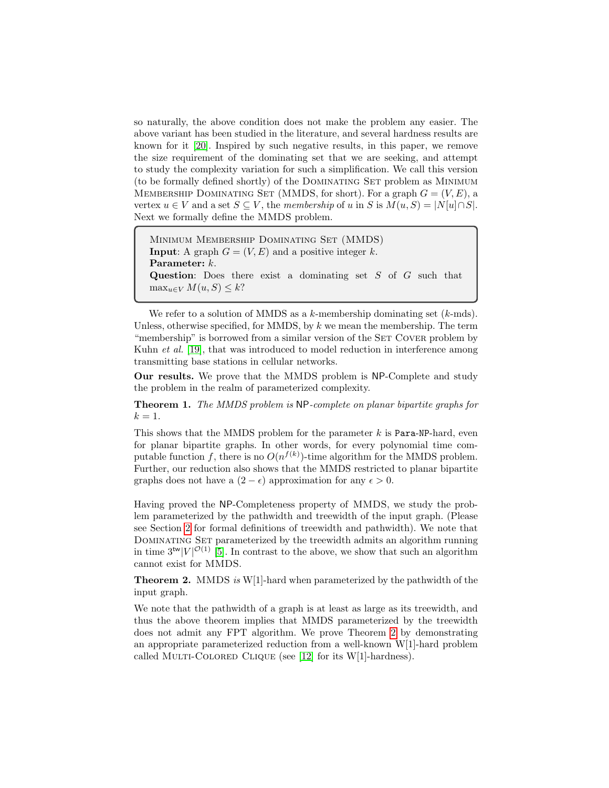so naturally, the above condition does not make the problem any easier. The above variant has been studied in the literature, and several hardness results are known for it [\[20\]](#page-21-1). Inspired by such negative results, in this paper, we remove the size requirement of the dominating set that we are seeking, and attempt to study the complexity variation for such a simplification. We call this version (to be formally defined shortly) of the DOMINATING SET problem as MINIMUM MEMBERSHIP DOMINATING SET (MMDS, for short). For a graph  $G = (V, E)$ , a vertex  $u \in V$  and a set  $S \subseteq V$ , the membership of u in S is  $M(u, S) = |N[u] \cap S|$ . Next we formally define the MMDS problem.

```
Minimum Membership Dominating Set (MMDS)
Input: A graph G = (V, E) and a positive integer k.
Parameter: k.
Question: Does there exist a dominating set S of G such that
\max_{u \in V} M(u, S) \leq k?
```
We refer to a solution of MMDS as a k-membership dominating set  $(k\text{-mds})$ . Unless, otherwise specified, for MMDS, by  $k$  we mean the membership. The term "membership" is borrowed from a similar version of the SET COVER problem by Kuhn *et al.* [\[19\]](#page-21-2), that was introduced to model reduction in interference among transmitting base stations in cellular networks.

<span id="page-1-1"></span>Our results. We prove that the MMDS problem is NP-Complete and study the problem in the realm of parameterized complexity.

Theorem 1. The MMDS problem is NP-complete on planar bipartite graphs for  $k=1$ .

This shows that the MMDS problem for the parameter  $k$  is Para-NP-hard, even for planar bipartite graphs. In other words, for every polynomial time computable function f, there is no  $O(n^{f(k)})$ -time algorithm for the MMDS problem. Further, our reduction also shows that the MMDS restricted to planar bipartite graphs does not have a  $(2 - \epsilon)$  approximation for any  $\epsilon > 0$ .

Having proved the NP-Completeness property of MMDS, we study the problem parameterized by the pathwidth and treewidth of the input graph. (Please see Section [2](#page-3-0) for formal definitions of treewidth and pathwidth). We note that DOMINATING SET parameterized by the treewidth admits an algorithm running in time  $3^{tw}|V|^{\mathcal{O}(1)}$  [\[5\]](#page-20-0). In contrast to the above, we show that such an algorithm cannot exist for MMDS.

<span id="page-1-0"></span>Theorem 2. MMDS is W[1]-hard when parameterized by the pathwidth of the input graph.

We note that the pathwidth of a graph is at least as large as its treewidth, and thus the above theorem implies that MMDS parameterized by the treewidth does not admit any FPT algorithm. We prove Theorem [2](#page-1-0) by demonstrating an appropriate parameterized reduction from a well-known W[1]-hard problem called MULTI-COLORED CLIQUE (see [\[12\]](#page-21-3) for its W[1]-hardness).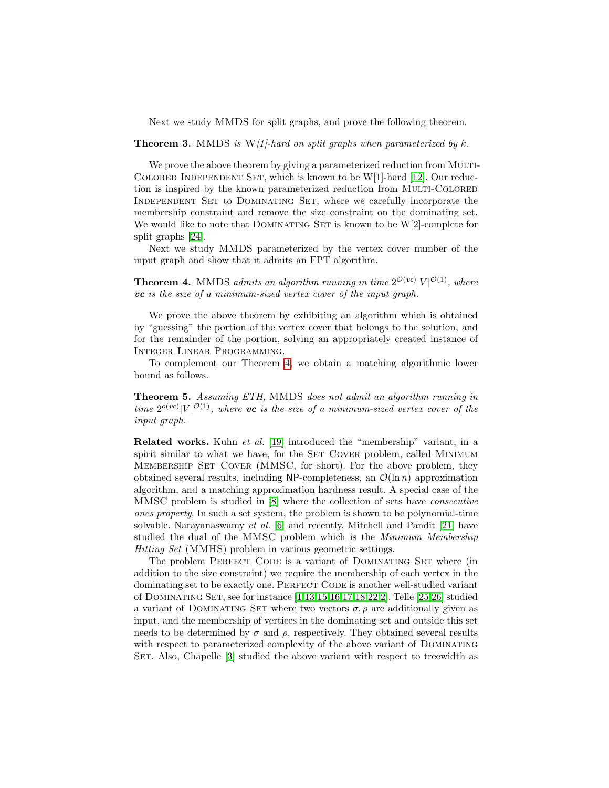Next we study MMDS for split graphs, and prove the following theorem.

### <span id="page-2-1"></span>**Theorem 3.** MMDS is  $W/1$ -hard on split graphs when parameterized by k.

We prove the above theorem by giving a parameterized reduction from MULTI-COLORED INDEPENDENT SET, which is known to be  $W[1]$ -hard [\[12\]](#page-21-3). Our reduction is inspired by the known parameterized reduction from MULTI-COLORED Independent Set to Dominating Set, where we carefully incorporate the membership constraint and remove the size constraint on the dominating set. We would like to note that DOMINATING SET is known to be  $W[2]$ -complete for split graphs [\[24\]](#page-21-4).

Next we study MMDS parameterized by the vertex cover number of the input graph and show that it admits an FPT algorithm.

<span id="page-2-0"></span>**Theorem 4.** MMDS admits an algorithm running in time  $2^{\mathcal{O}(vc)} |V|^{\mathcal{O}(1)}$ , where vc is the size of a minimum-sized vertex cover of the input graph.

We prove the above theorem by exhibiting an algorithm which is obtained by "guessing" the portion of the vertex cover that belongs to the solution, and for the remainder of the portion, solving an appropriately created instance of Integer Linear Programming.

To complement our Theorem [4,](#page-2-0) we obtain a matching algorithmic lower bound as follows.

<span id="page-2-2"></span>Theorem 5. Assuming ETH, MMDS does not admit an algorithm running in time  $2^{o(wc)}|V|^{\mathcal{O}(1)}$ , where vc is the size of a minimum-sized vertex cover of the input graph.

Related works. Kuhn et al. [\[19\]](#page-21-2) introduced the "membership" variant, in a spirit similar to what we have, for the SET COVER problem, called MINIMUM Membership Set Cover (MMSC, for short). For the above problem, they obtained several results, including NP-completeness, an  $\mathcal{O}(\ln n)$  approximation algorithm, and a matching approximation hardness result. A special case of the MMSC problem is studied in [\[8\]](#page-20-1) where the collection of sets have consecutive ones property. In such a set system, the problem is shown to be polynomial-time solvable. Narayanaswamy et al. [\[6\]](#page-20-2) and recently, Mitchell and Pandit [\[21\]](#page-21-5) have studied the dual of the MMSC problem which is the Minimum Membership Hitting Set (MMHS) problem in various geometric settings.

The problem PERFECT CODE is a variant of DOMINATING SET where (in addition to the size constraint) we require the membership of each vertex in the dominating set to be exactly one. PERFECT CODE is another well-studied variant of Dominating Set, see for instance [\[1,](#page-20-3)[13](#page-21-6)[,15,](#page-21-7)[16,](#page-21-8)[17,](#page-21-9)[18](#page-21-10)[,22,](#page-21-11)[2\]](#page-20-4). Telle [\[25,](#page-21-12)[26\]](#page-21-13) studied a variant of DOMINATING SET where two vectors  $\sigma$ ,  $\rho$  are additionally given as input, and the membership of vertices in the dominating set and outside this set needs to be determined by  $\sigma$  and  $\rho$ , respectively. They obtained several results with respect to parameterized complexity of the above variant of DOMINATING SET. Also, Chapelle [\[3\]](#page-20-5) studied the above variant with respect to treewidth as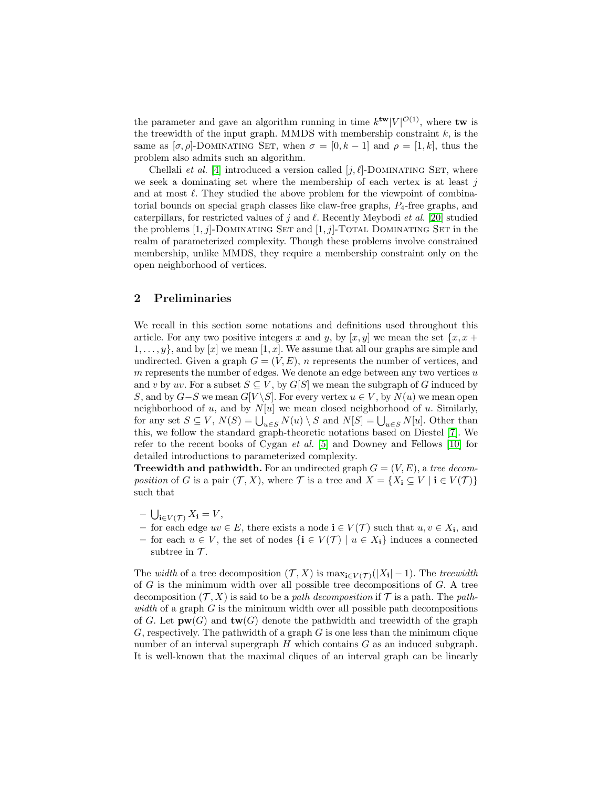the parameter and gave an algorithm running in time  $k^{\text{tw}}|V|^{\mathcal{O}(1)}$ , where tw is the treewidth of the input graph. MMDS with membership constraint  $k$ , is the same as  $[\sigma, \rho]$ -DOMINATING SET, when  $\sigma = [0, k-1]$  and  $\rho = [1, k]$ , thus the problem also admits such an algorithm.

Chellali *et al.* [\[4\]](#page-20-6) introduced a version called  $[j, \ell]$ -DOMINATING SET, where we seek a dominating set where the membership of each vertex is at least  $j$ and at most  $\ell$ . They studied the above problem for the viewpoint of combinatorial bounds on special graph classes like claw-free graphs,  $P_4$ -free graphs, and caterpillars, for restricted values of j and  $\ell$ . Recently Meybodi et al. [\[20\]](#page-21-1) studied the problems  $[1, j]$ -DOMINATING SET and  $[1, j]$ -TOTAL DOMINATING SET in the realm of parameterized complexity. Though these problems involve constrained membership, unlike MMDS, they require a membership constraint only on the open neighborhood of vertices.

### <span id="page-3-0"></span>2 Preliminaries

We recall in this section some notations and definitions used throughout this article. For any two positive integers x and y, by  $[x, y]$  we mean the set  $\{x, x +$  $1, \ldots, y$ , and by [x] we mean [1, x]. We assume that all our graphs are simple and undirected. Given a graph  $G = (V, E)$ , *n* represents the number of vertices, and  $m$  represents the number of edges. We denote an edge between any two vertices  $u$ and v by uv. For a subset  $S \subseteq V$ , by  $G[S]$  we mean the subgraph of G induced by S, and by  $G-S$  we mean  $G[V\backslash S]$ . For every vertex  $u \in V$ , by  $N(u)$  we mean open neighborhood of u, and by  $N[u]$  we mean closed neighborhood of u. Similarly, for any set  $S \subseteq V$ ,  $N(S) = \bigcup_{u \in S} N(u) \setminus S$  and  $N[S] = \bigcup_{u \in S} N[u]$ . Other than this, we follow the standard graph-theoretic notations based on Diestel [\[7\]](#page-20-7). We refer to the recent books of Cygan et al. [\[5\]](#page-20-0) and Downey and Fellows [\[10\]](#page-20-8) for detailed introductions to parameterized complexity.

**Treewidth and pathwidth.** For an undirected graph  $G = (V, E)$ , a tree decomposition of G is a pair  $(\mathcal{T}, X)$ , where  $\mathcal{T}$  is a tree and  $X = \{X_i \subseteq V \mid i \in V(\mathcal{T})\}$ such that

- $\bigcup_{\mathbf{i}\in V(\mathcal{T})} X_{\mathbf{i}} = V,$
- for each edge  $uv \in E$ , there exists a node **i** ∈  $V(T)$  such that  $u, v \in X$ <sub>i</sub>, and
- for each  $u \in V$ , the set of nodes  $\{i \in V(\mathcal{T}) \mid u \in X_i\}$  induces a connected subtree in  $\mathcal{T}$ .

The *width* of a tree decomposition  $(\mathcal{T}, X)$  is  $\max_{\mathbf{i} \in V(\mathcal{T})}(|X_{\mathbf{i}}| - 1)$ . The *treewidth* of  $G$  is the minimum width over all possible tree decompositions of  $G$ . A tree decomposition  $(\mathcal{T}, X)$  is said to be a *path decomposition* if  $\mathcal{T}$  is a path. The *path*width of a graph  $G$  is the minimum width over all possible path decompositions of G. Let  $\mathbf{pw}(G)$  and  $\mathbf{tw}(G)$  denote the pathwidth and treewidth of the graph G, respectively. The pathwidth of a graph  $G$  is one less than the minimum clique number of an interval supergraph  $H$  which contains  $G$  as an induced subgraph. It is well-known that the maximal cliques of an interval graph can be linearly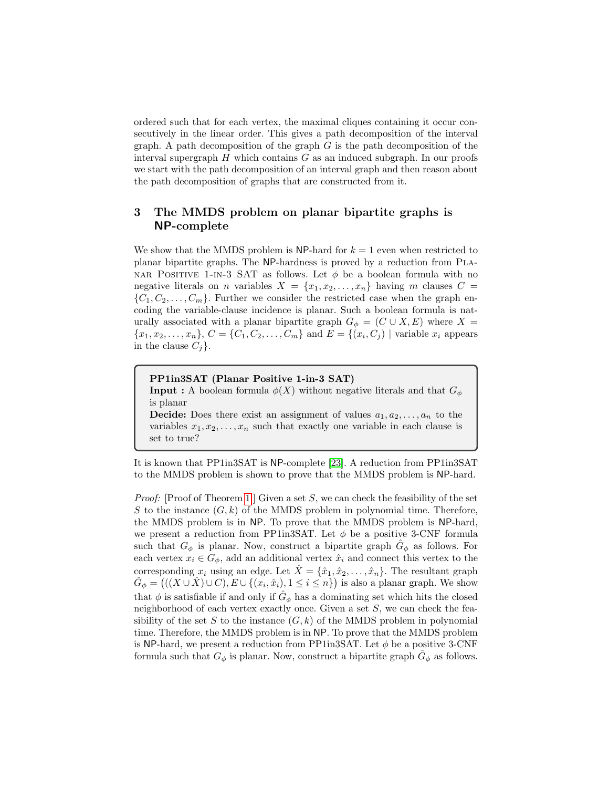ordered such that for each vertex, the maximal cliques containing it occur consecutively in the linear order. This gives a path decomposition of the interval graph. A path decomposition of the graph  $G$  is the path decomposition of the interval supergraph  $H$  which contains  $G$  as an induced subgraph. In our proofs we start with the path decomposition of an interval graph and then reason about the path decomposition of graphs that are constructed from it.

# 3 The MMDS problem on planar bipartite graphs is NP-complete

We show that the MMDS problem is NP-hard for  $k = 1$  even when restricted to planar bipartite graphs. The NP-hardness is proved by a reduction from Pla-NAR POSITIVE 1-IN-3 SAT as follows. Let  $\phi$  be a boolean formula with no negative literals on *n* variables  $X = \{x_1, x_2, \ldots, x_n\}$  having *m* clauses  $C =$  ${C_1, C_2, \ldots, C_m}$ . Further we consider the restricted case when the graph encoding the variable-clause incidence is planar. Such a boolean formula is naturally associated with a planar bipartite graph  $G_{\phi} = (C \cup X, E)$  where X =  ${x_1, x_2, \ldots, x_n}$ ,  $C = {C_1, C_2, \ldots, C_m}$  and  $E = {(x_i, C_j) |$  variable  $x_i$  appears in the clause  $C_i$ .

### PP1in3SAT (Planar Positive 1-in-3 SAT)

**Input :** A boolean formula  $\phi(X)$  without negative literals and that  $G_{\phi}$ is planar

**Decide:** Does there exist an assignment of values  $a_1, a_2, \ldots, a_n$  to the variables  $x_1, x_2, \ldots, x_n$  such that exactly one variable in each clause is set to true?

It is known that PP1in3SAT is NP-complete [\[23\]](#page-21-14). A reduction from PP1in3SAT to the MMDS problem is shown to prove that the MMDS problem is NP-hard.

*Proof:* [Proof of Theorem [1](#page-1-1) ] Given a set  $S$ , we can check the feasibility of the set S to the instance  $(G, k)$  of the MMDS problem in polynomial time. Therefore, the MMDS problem is in NP. To prove that the MMDS problem is NP-hard, we present a reduction from PP1in3SAT. Let  $\phi$  be a positive 3-CNF formula such that  $G_{\phi}$  is planar. Now, construct a bipartite graph  $\hat{G}_{\phi}$  as follows. For each vertex  $x_i \in G_\phi$ , add an additional vertex  $\hat{x}_i$  and connect this vertex to the corresponding  $x_i$  using an edge. Let  $\hat{X} = {\hat{x}_1, \hat{x}_2, \dots, \hat{x}_n}$ . The resultant graph  $\hat{G}_{\phi} = \left( ((X \cup \hat{X}) \cup C), E \cup \{(x_i, \hat{x}_i), 1 \leq i \leq n\} \right)$  is also a planar graph. We show that  $\phi$  is satisfiable if and only if  $\hat{G}_{\phi}$  has a dominating set which hits the closed neighborhood of each vertex exactly once. Given a set  $S$ , we can check the feasibility of the set S to the instance  $(G, k)$  of the MMDS problem in polynomial time. Therefore, the MMDS problem is in NP. To prove that the MMDS problem is NP-hard, we present a reduction from PP1in3SAT. Let  $\phi$  be a positive 3-CNF formula such that  $G_{\phi}$  is planar. Now, construct a bipartite graph  $\hat{G}_{\phi}$  as follows.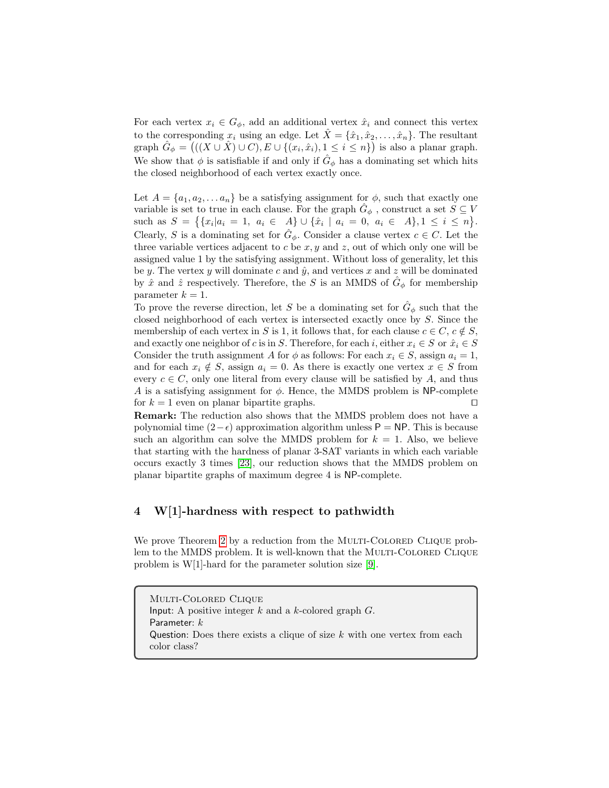For each vertex  $x_i \in G_\phi$ , add an additional vertex  $\hat{x}_i$  and connect this vertex to the corresponding  $x_i$  using an edge. Let  $\hat{X} = {\hat{x}_1, \hat{x}_2, \dots, \hat{x}_n}$ . The resultant graph  $\hat{G}_{\phi} = (((X \cup \hat{X}) \cup C), E \cup \{ (x_i, \hat{x}_i), 1 \leq i \leq n \})$  is also a planar graph. We show that  $\phi$  is satisfiable if and only if  $\hat{G}_{\phi}$  has a dominating set which hits the closed neighborhood of each vertex exactly once.

Let  $A = \{a_1, a_2, \ldots a_n\}$  be a satisfying assignment for  $\phi$ , such that exactly one variable is set to true in each clause. For the graph  $\hat{G}_{\phi}$ , construct a set  $S \subseteq V$ such as  $S = \{ \{x_i | a_i = 1, a_i \in A\} \cup \{\hat{x}_i \mid a_i = 0, a_i \in A\}, 1 \leq i \leq n \}.$ Clearly, S is a dominating set for  $\hat{G}_{\phi}$ . Consider a clause vertex  $c \in C$ . Let the three variable vertices adjacent to  $c$  be  $x, y$  and  $z$ , out of which only one will be assigned value 1 by the satisfying assignment. Without loss of generality, let this be y. The vertex y will dominate c and  $\hat{y}$ , and vertices x and z will be dominated by  $\hat{x}$  and  $\hat{z}$  respectively. Therefore, the S is an MMDS of  $\hat{G}_{\phi}$  for membership parameter  $k = 1$ .

To prove the reverse direction, let S be a dominating set for  $\hat{G}_{\phi}$  such that the closed neighborhood of each vertex is intersected exactly once by S. Since the membership of each vertex in S is 1, it follows that, for each clause  $c \in C$ ,  $c \notin S$ , and exactly one neighbor of c is in S. Therefore, for each i, either  $x_i \in S$  or  $\hat{x}_i \in S$ Consider the truth assignment A for  $\phi$  as follows: For each  $x_i \in S$ , assign  $a_i = 1$ , and for each  $x_i \notin S$ , assign  $a_i = 0$ . As there is exactly one vertex  $x \in S$  from every  $c \in C$ , only one literal from every clause will be satisfied by A, and thus A is a satisfying assignment for  $\phi$ . Hence, the MMDS problem is NP-complete for  $k = 1$  even on planar bipartite graphs.

Remark: The reduction also shows that the MMDS problem does not have a polynomial time  $(2-\epsilon)$  approximation algorithm unless P = NP. This is because such an algorithm can solve the MMDS problem for  $k = 1$ . Also, we believe that starting with the hardness of planar 3-SAT variants in which each variable occurs exactly 3 times [\[23\]](#page-21-14), our reduction shows that the MMDS problem on planar bipartite graphs of maximum degree 4 is NP-complete.

# 4 W[1]-hardness with respect to pathwidth

We prove Theorem [2](#page-1-0) by a reduction from the MULTI-COLORED CLIQUE problem to the MMDS problem. It is well-known that the MULTI-COLORED CLIQUE problem is W[1]-hard for the parameter solution size [\[9\]](#page-20-9).

Multi-Colored Clique Input: A positive integer  $k$  and a  $k$ -colored graph  $G$ . Parameter:  $k$ Question: Does there exists a clique of size  $k$  with one vertex from each color class?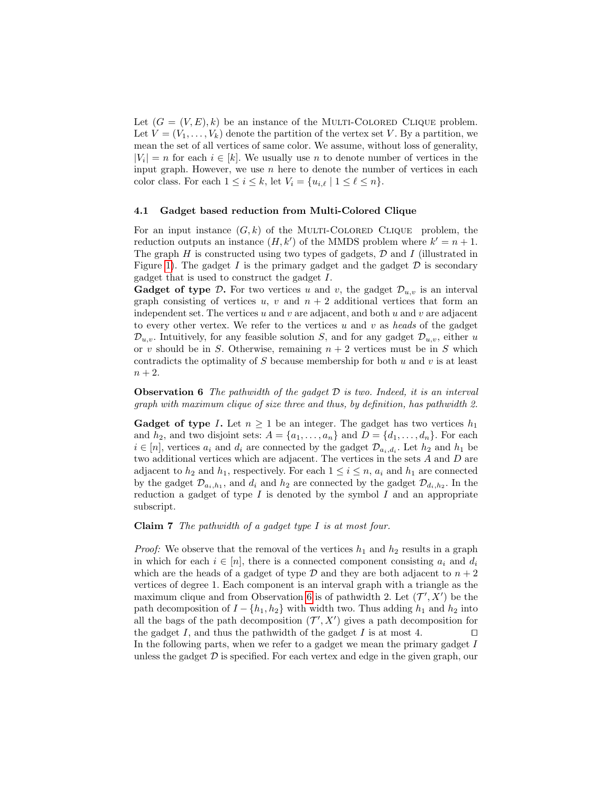Let  $(G = (V, E), k)$  be an instance of the MULTI-COLORED CLIQUE problem. Let  $V = (V_1, \ldots, V_k)$  denote the partition of the vertex set V. By a partition, we mean the set of all vertices of same color. We assume, without loss of generality,  $|V_i| = n$  for each  $i \in [k]$ . We usually use n to denote number of vertices in the input graph. However, we use  $n$  here to denote the number of vertices in each color class. For each  $1 \leq i \leq k$ , let  $V_i = \{u_{i,\ell} | 1 \leq \ell \leq n\}.$ 

#### 4.1 Gadget based reduction from Multi-Colored Clique

For an input instance  $(G, k)$  of the MULTI-COLORED CLIQUE problem, the reduction outputs an instance  $(H, k')$  of the MMDS problem where  $k' = n + 1$ . The graph  $H$  is constructed using two types of gadgets,  $D$  and  $I$  (illustrated in Figure [1\)](#page-7-0). The gadget I is the primary gadget and the gadget  $D$  is secondary gadget that is used to construct the gadget I.

**Gadget of type D.** For two vertices u and v, the gadget  $\mathcal{D}_{u,v}$  is an interval graph consisting of vertices u, v and  $n + 2$  additional vertices that form an independent set. The vertices u and v are adjacent, and both u and v are adjacent to every other vertex. We refer to the vertices u and v as heads of the gadget  $\mathcal{D}_{u,v}$ . Intuitively, for any feasible solution S, and for any gadget  $\mathcal{D}_{u,v}$ , either u or v should be in S. Otherwise, remaining  $n + 2$  vertices must be in S which contradicts the optimality of  $S$  because membership for both  $u$  and  $v$  is at least  $n + 2$ .

<span id="page-6-0"></span>**Observation 6** The pathwidth of the gadget  $D$  is two. Indeed, it is an interval graph with maximum clique of size three and thus, by definition, has pathwidth 2.

**Gadget of type I.** Let  $n \geq 1$  be an integer. The gadget has two vertices  $h_1$ and  $h_2$ , and two disjoint sets:  $A = \{a_1, \ldots, a_n\}$  and  $D = \{d_1, \ldots, d_n\}$ . For each  $i \in [n]$ , vertices  $a_i$  and  $d_i$  are connected by the gadget  $\mathcal{D}_{a_i,d_i}$ . Let  $h_2$  and  $h_1$  be two additional vertices which are adjacent. The vertices in the sets A and D are adjacent to  $h_2$  and  $h_1$ , respectively. For each  $1 \leq i \leq n$ ,  $a_i$  and  $h_1$  are connected by the gadget  $\mathcal{D}_{a_i, h_1}$ , and  $d_i$  and  $h_2$  are connected by the gadget  $\mathcal{D}_{d_i, h_2}$ . In the reduction a gadget of type  $I$  is denoted by the symbol  $I$  and an appropriate subscript.

<span id="page-6-1"></span>**Claim 7** The pathwidth of a gadget type  $I$  is at most four.

*Proof:* We observe that the removal of the vertices  $h_1$  and  $h_2$  results in a graph in which for each  $i \in [n]$ , there is a connected component consisting  $a_i$  and  $d_i$ which are the heads of a gadget of type  $\mathcal D$  and they are both adjacent to  $n+2$ vertices of degree 1. Each component is an interval graph with a triangle as the maximum clique and from Observation [6](#page-6-0) is of pathwidth 2. Let  $(\mathcal{T}', X')$  be the path decomposition of  $I - \{h_1, h_2\}$  with width two. Thus adding  $h_1$  and  $h_2$  into all the bags of the path decomposition  $(\mathcal{T}', X')$  gives a path decomposition for the gadget I, and thus the pathwidth of the gadget I is at most 4.  $\Box$ In the following parts, when we refer to a gadget we mean the primary gadget  $I$ unless the gadget  $\mathcal D$  is specified. For each vertex and edge in the given graph, our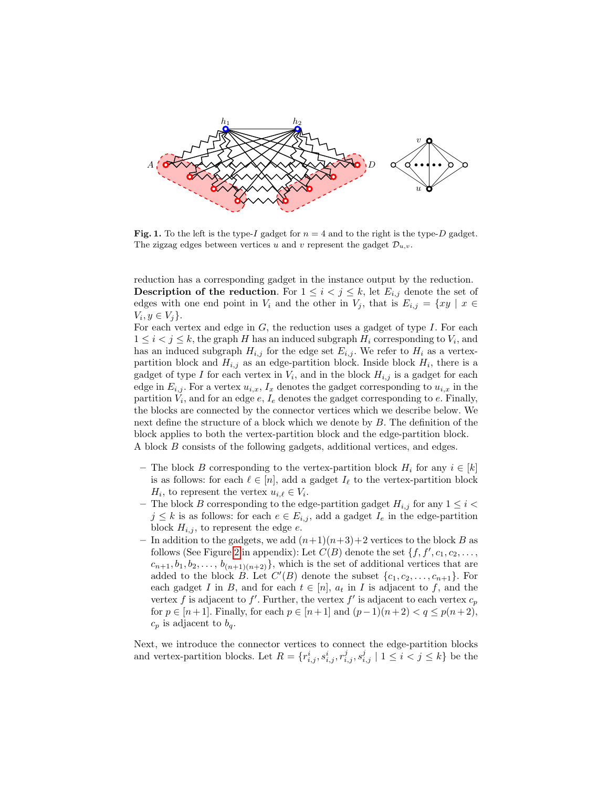

<span id="page-7-0"></span>Fig. 1. To the left is the type-I gadget for  $n = 4$  and to the right is the type-D gadget. The zigzag edges between vertices u and v represent the gadget  $\mathcal{D}_{u,v}$ .

reduction has a corresponding gadget in the instance output by the reduction. **Description of the reduction.** For  $1 \leq i \leq j \leq k$ , let  $E_{i,j}$  denote the set of edges with one end point in  $V_i$  and the other in  $V_j$ , that is  $E_{i,j} = \{xy \mid x \in$  $V_i, y \in V_j$ .

For each vertex and edge in  $G$ , the reduction uses a gadget of type  $I$ . For each  $1 \leq i < j \leq k$ , the graph H has an induced subgraph  $H_i$  corresponding to  $V_i$ , and has an induced subgraph  $H_{i,j}$  for the edge set  $E_{i,j}$ . We refer to  $H_i$  as a vertexpartition block and  $H_{i,j}$  as an edge-partition block. Inside block  $H_i$ , there is a gadget of type I for each vertex in  $V_i$ , and in the block  $H_{i,j}$  is a gadget for each edge in  $E_{i,j}$ . For a vertex  $u_{i,x}$ ,  $I_x$  denotes the gadget corresponding to  $u_{i,x}$  in the partition  $V_i$ , and for an edge  $e, I_e$  denotes the gadget corresponding to  $e$ . Finally, the blocks are connected by the connector vertices which we describe below. We next define the structure of a block which we denote by B. The definition of the block applies to both the vertex-partition block and the edge-partition block. A block B consists of the following gadgets, additional vertices, and edges.

– The block B corresponding to the vertex-partition block  $H_i$  for any  $i \in [k]$ is as follows: for each  $\ell \in [n]$ , add a gadget  $I_\ell$  to the vertex-partition block  $H_i$ , to represent the vertex  $u_{i,\ell} \in V_i$ .

- The block B corresponding to the edge-partition gadget  $H_{i,j}$  for any  $1 \leq i <$  $j \leq k$  is as follows: for each  $e \in E_{i,j}$ , add a gadget  $I_e$  in the edge-partition block  $H_{i,j}$ , to represent the edge e.
- In addition to the gadgets, we add  $(n+1)(n+3)+2$  vertices to the block B as follows (See Figure [2](#page-8-0) in appendix): Let  $C(B)$  denote the set  $\{f, f', c_1, c_2, \ldots,$  $c_{n+1}, b_1, b_2, \ldots, b_{(n+1)(n+2)}\},$  which is the set of additional vertices that are added to the block  $B$ . Let  $C'(B)$  denote the subset  $\{c_1, c_2, \ldots, c_{n+1}\}$ . For each gadget I in B, and for each  $t \in [n]$ ,  $a_t$  in I is adjacent to f, and the vertex f is adjacent to f'. Further, the vertex f' is adjacent to each vertex  $c_p$ for *p* ∈ [*n* + 1]. Finally, for each *p* ∈ [*n* + 1] and (*p* − 1)(*n* + 2) < *q* ≤ *p*(*n* + 2),  $c_p$  is adjacent to  $b_q$ .

Next, we introduce the connector vertices to connect the edge-partition blocks and vertex-partition blocks. Let  $R = \{r_{i,j}^i, s_{i,j}^i, r_{i,j}^j, s_{i,j}^j \mid 1 \leq i \leq j \leq k\}$  be the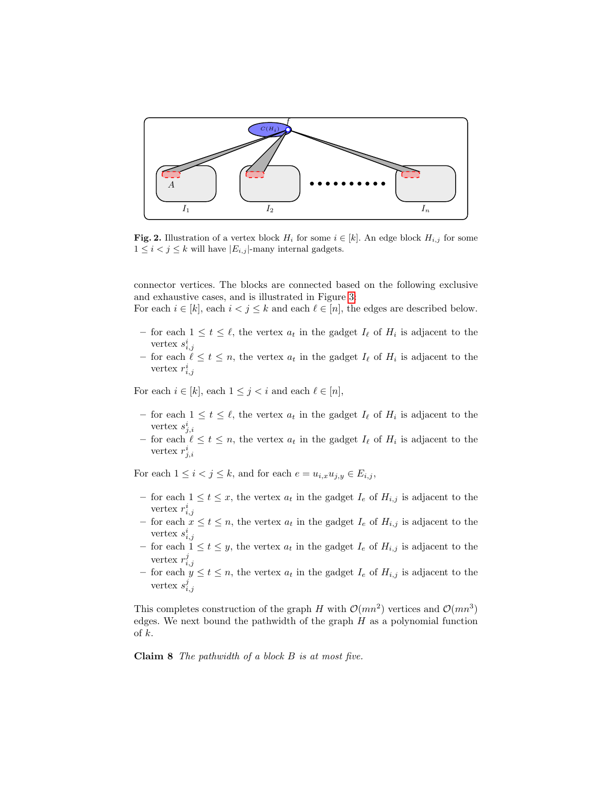

<span id="page-8-0"></span>**Fig. 2.** Illustration of a vertex block  $H_i$  for some  $i \in [k]$ . An edge block  $H_{i,j}$  for some  $1 \leq i < j \leq k$  will have  $|E_{i,j}|$ -many internal gadgets.

connector vertices. The blocks are connected based on the following exclusive and exhaustive cases, and is illustrated in Figure [3:](#page-9-0)

For each  $i \in [k]$ , each  $i < j \leq k$  and each  $\ell \in [n]$ , the edges are described below.

- − for each  $1 \le t \le \ell$ , the vertex  $a_t$  in the gadget  $I_{\ell}$  of  $H_i$  is adjacent to the vertex  $s_{i,j}^i$ <br>  $-$  for each  $\ell \leq t \leq n$ , the vertex  $a_t$  in the gadget  $I_{\ell}$  of  $H_i$  is adjacent to the
- vertex  $r_{i,j}^i$

For each  $i \in [k]$ , each  $1 \leq j < i$  and each  $\ell \in [n]$ ,

- − for each  $1 \le t \le \ell$ , the vertex  $a_t$  in the gadget  $I_{\ell}$  of  $H_i$  is adjacent to the vertex  $s_{j,i}^i$
- for each  $\ell \leq t \leq n$ , the vertex  $a_t$  in the gadget  $I_\ell$  of  $H_i$  is adjacent to the vertex  $r_{j,i}^i$

For each  $1 \leq i < j \leq k$ , and for each  $e = u_{i,x} u_{j,y} \in E_{i,j}$ ,

- for each  $1 \le t \le x$ , the vertex  $a_t$  in the gadget  $I_e$  of  $H_{i,j}$  is adjacent to the vertex  $r_{i,j}^i$ <br>  $-$  for each  $x \le t \le n$ , the vertex  $a_t$  in the gadget  $I_e$  of  $H_{i,j}$  is adjacent to the
- vertex  $s_{i,j}^i$ <br>
 for each  $1 \le t \le y$ , the vertex  $a_t$  in the gadget  $I_e$  of  $H_{i,j}$  is adjacent to the
- vertex  $r_{i,j}^j$ <br>- for each  $y \le t \le n$ , the vertex  $a_t$  in the gadget  $I_e$  of  $H_{i,j}$  is adjacent to the
- vertex  $s_{i,j}^j$

<span id="page-8-1"></span>This completes construction of the graph H with  $\mathcal{O}(mn^2)$  vertices and  $\mathcal{O}(mn^3)$ edges. We next bound the pathwidth of the graph  $H$  as a polynomial function of  $k$ .

Claim 8 The pathwidth of a block B is at most five.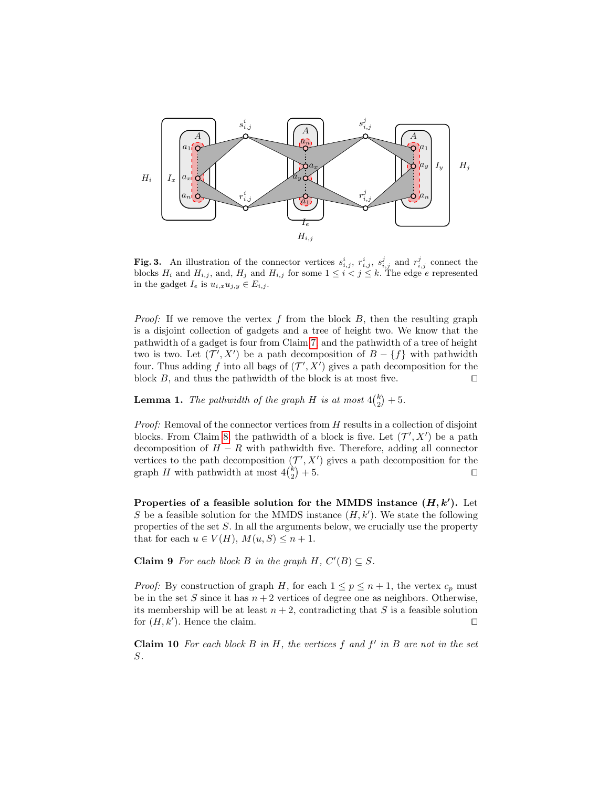

<span id="page-9-0"></span>Fig. 3. An illustration of the connector vertices  $s_{i,j}^i$ ,  $r_{i,j}^i$ ,  $s_{i,j}^j$  and  $r_{i,j}^j$  connect the blocks  $H_i$  and  $H_{i,j}$ , and,  $H_j$  and  $H_{i,j}$  for some  $1 \leq i < j \leq k$ . The edge e represented in the gadget  $I_e$  is  $u_{i,x}u_{j,y} \in E_{i,j}$ .

*Proof:* If we remove the vertex  $f$  from the block  $B$ , then the resulting graph is a disjoint collection of gadgets and a tree of height two. We know that the pathwidth of a gadget is four from Claim [7,](#page-6-1) and the pathwidth of a tree of height two is two. Let  $(\mathcal{T}', X')$  be a path decomposition of  $B - \{f\}$  with pathwidth four. Thus adding f into all bags of  $(\mathcal{T}', X')$  gives a path decomposition for the block B, and thus the pathwidth of the block is at most five.  $\Box$ 

<span id="page-9-3"></span>**Lemma 1.** The pathwidth of the graph H is at most  $4\binom{k}{2} + 5$ .

*Proof:* Removal of the connector vertices from  $H$  results in a collection of disjoint blocks. From Claim [8,](#page-8-1) the pathwidth of a block is five. Let  $(\mathcal{T}', X')$  be a path decomposition of  $H - R$  with pathwidth five. Therefore, adding all connector vertices to the path decomposition  $(\mathcal{T}', X')$  gives a path decomposition for the graph H with pathwidth at most  $4\binom{k}{2}+5$ .

Properties of a feasible solution for the MMDS instance  $(H, k')$ . Let S be a feasible solution for the MMDS instance  $(H, k')$ . We state the following properties of the set S. In all the arguments below, we crucially use the property that for each  $u \in V(H)$ ,  $M(u, S) \leq n + 1$ .

<span id="page-9-1"></span>**Claim 9** For each block B in the graph  $H$ ,  $C'(B) \subseteq S$ .

*Proof:* By construction of graph H, for each  $1 \le p \le n + 1$ , the vertex  $c_p$  must be in the set S since it has  $n + 2$  vertices of degree one as neighbors. Otherwise, its membership will be at least  $n + 2$ , contradicting that S is a feasible solution for  $(H, k')$ . Hence the claim.

<span id="page-9-2"></span>**Claim 10** For each block  $B$  in  $H$ , the vertices  $f$  and  $f'$  in  $B$  are not in the set S.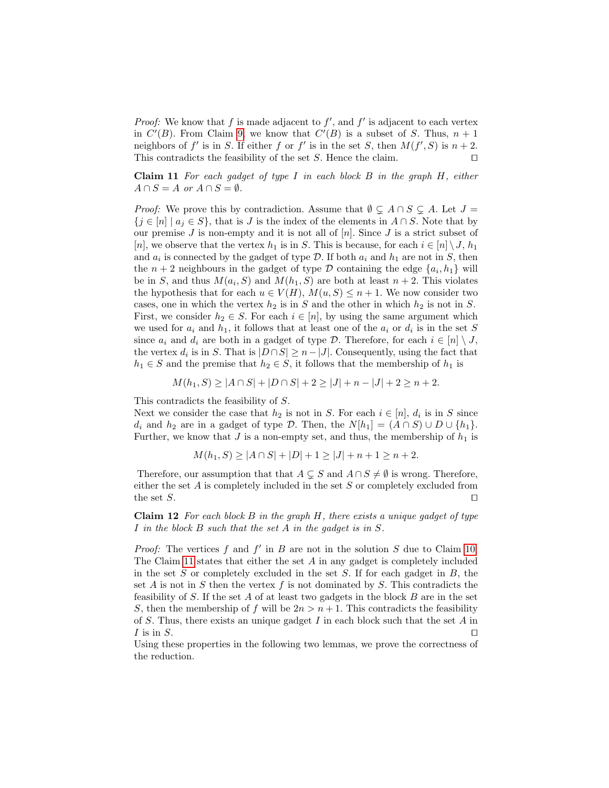*Proof:* We know that  $f$  is made adjacent to  $f'$ , and  $f'$  is adjacent to each vertex in  $C'(B)$ . From Claim [9,](#page-9-1) we know that  $C'(B)$  is a subset of S. Thus,  $n + 1$ neighbors of f' is in S. If either f or f' is in the set S, then  $M(f', S)$  is  $n + 2$ . This contradicts the feasibility of the set  $S$ . Hence the claim.  $\square$ 

<span id="page-10-0"></span>**Claim 11** For each gadget of type I in each block  $B$  in the graph  $H$ , either  $A \cap S = A$  or  $A \cap S = \emptyset$ .

*Proof:* We prove this by contradiction. Assume that  $\emptyset \subsetneq A \cap S \subsetneq A$ . Let  $J =$  $\{j \in [n] \mid a_j \in S\}$ , that is J is the index of the elements in  $A \cap S$ . Note that by our premise J is non-empty and it is not all of  $[n]$ . Since J is a strict subset of [n], we observe that the vertex  $h_1$  is in S. This is because, for each  $i \in [n] \setminus J$ ,  $h_1$ and  $a_i$  is connected by the gadget of type  $\mathcal{D}$ . If both  $a_i$  and  $h_1$  are not in S, then the  $n+2$  neighbours in the gadget of type  $\mathcal D$  containing the edge  $\{a_i, h_1\}$  will be in S, and thus  $M(a_i, S)$  and  $M(h_1, S)$  are both at least  $n + 2$ . This violates the hypothesis that for each  $u \in V(H)$ ,  $M(u, S) \leq n + 1$ . We now consider two cases, one in which the vertex  $h_2$  is in S and the other in which  $h_2$  is not in S. First, we consider  $h_2 \in S$ . For each  $i \in [n]$ , by using the same argument which we used for  $a_i$  and  $h_1$ , it follows that at least one of the  $a_i$  or  $d_i$  is in the set S since  $a_i$  and  $d_i$  are both in a gadget of type  $\mathcal{D}$ . Therefore, for each  $i \in [n] \setminus J$ , the vertex  $d_i$  is in S. That is  $|D \cap S| \geq n - |J|$ . Consequently, using the fact that  $h_1 \in S$  and the premise that  $h_2 \in S$ , it follows that the membership of  $h_1$  is

$$
M(h_1, S) \ge |A \cap S| + |D \cap S| + 2 \ge |J| + n - |J| + 2 \ge n + 2.
$$

This contradicts the feasibility of S.

Next we consider the case that  $h_2$  is not in S. For each  $i \in [n], d_i$  is in S since  $d_i$  and  $h_2$  are in a gadget of type  $\mathcal{D}$ . Then, the  $N[h_1] = (A \cap S) \cup D \cup \{h_1\}.$ Further, we know that  $J$  is a non-empty set, and thus, the membership of  $h_1$  is

$$
M(h_1, S) \ge |A \cap S| + |D| + 1 \ge |J| + n + 1 \ge n + 2.
$$

Therefore, our assumption that that  $A \subseteq S$  and  $A \cap S \neq \emptyset$  is wrong. Therefore, either the set  $A$  is completely included in the set  $S$  or completely excluded from the set  $S$ .

<span id="page-10-1"></span>Claim  $12$  For each block B in the graph H, there exists a unique gadget of type I in the block B such that the set A in the gadget is in S.

*Proof:* The vertices  $f$  and  $f'$  in  $B$  are not in the solution  $S$  due to Claim [10.](#page-9-2) The Claim [11](#page-10-0) states that either the set  $A$  in any gadget is completely included in the set  $S$  or completely excluded in the set  $S$ . If for each gadget in  $B$ , the set A is not in S then the vertex  $f$  is not dominated by S. This contradicts the feasibility of  $S$ . If the set  $A$  of at least two gadgets in the block  $B$  are in the set S, then the membership of f will be  $2n > n+1$ . This contradicts the feasibility of S. Thus, there exists an unique gadget I in each block such that the set  $A$  in I is in S.

<span id="page-10-2"></span>Using these properties in the following two lemmas, we prove the correctness of the reduction.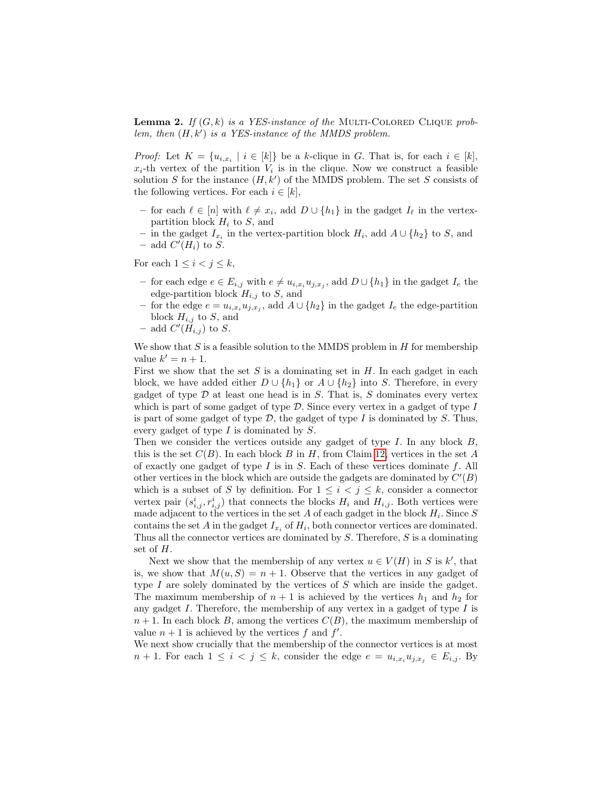**Lemma 2.** If  $(G, k)$  is a YES-instance of the MULTI-COLORED CLIQUE problem, then  $(H, k')$  is a YES-instance of the MMDS problem.

*Proof:* Let  $K = \{u_{i,x_i} \mid i \in [k]\}$  be a k-clique in G. That is, for each  $i \in [k]$ ,  $x_i$ -th vertex of the partition  $V_i$  is in the clique. Now we construct a feasible solution S for the instance  $(H, k')$  of the MMDS problem. The set S consists of the following vertices. For each  $i \in [k]$ ,

- for each  $\ell \in [n]$  with  $\ell \neq x_i$ , add  $D \cup \{h_1\}$  in the gadget  $I_{\ell}$  in the vertexpartition block  $H_i$  to S, and
- − in the gadget  $I_{x_i}$  in the vertex-partition block  $H_i$ , add  $A \cup \{h_2\}$  to S, and - add  $C'(H_i)$  to S.

For each  $1 \leq i < j \leq k$ ,

- for each edge  $e \in E_{i,j}$  with  $e \neq u_{i,x_i}u_{j,x_j}$ , add  $D \cup \{h_1\}$  in the gadget  $I_e$  the edge-partition block  $H_{i,j}$  to S, and
- − for the edge  $e = u_{i,x_i} u_{j,x_j}$ , add  $A \cup \{h_2\}$  in the gadget  $I_e$  the edge-partition block  $H_{i,j}$  to S, and
- add  $C'(\tilde{H}_{i,j})$  to S.

We show that  $S$  is a feasible solution to the MMDS problem in  $H$  for membership value  $k' = n + 1$ .

First we show that the set  $S$  is a dominating set in  $H$ . In each gadget in each block, we have added either  $D \cup \{h_1\}$  or  $A \cup \{h_2\}$  into S. Therefore, in every gadget of type  $D$  at least one head is in  $S$ . That is,  $S$  dominates every vertex which is part of some gadget of type  $\mathcal{D}$ . Since every vertex in a gadget of type I is part of some gadget of type  $D$ , the gadget of type  $I$  is dominated by  $S$ . Thus, every gadget of type I is dominated by S.

Then we consider the vertices outside any gadget of type  $I$ . In any block  $B$ , this is the set  $C(B)$ . In each block B in H, from Claim [12,](#page-10-1) vertices in the set A of exactly one gadget of type I is in  $S$ . Each of these vertices dominate  $f$ . All other vertices in the block which are outside the gadgets are dominated by  $C'(B)$ which is a subset of S by definition. For  $1 \leq i \leq j \leq k$ , consider a connector vertex pair  $(s_{i,j}^i, r_{i,j}^i)$  that connects the blocks  $H_i$  and  $H_{i,j}$ . Both vertices were made adjacent to the vertices in the set A of each gadget in the block  $H_i$ . Since S contains the set A in the gadget  $I_{x_i}$  of  $H_i$ , both connector vertices are dominated. Thus all the connector vertices are dominated by S. Therefore, S is a dominating set of H.

Next we show that the membership of any vertex  $u \in V(H)$  in S is k', that is, we show that  $M(u, S) = n + 1$ . Observe that the vertices in any gadget of type  $I$  are solely dominated by the vertices of  $S$  which are inside the gadget. The maximum membership of  $n + 1$  is achieved by the vertices  $h_1$  and  $h_2$  for any gadget  $I$ . Therefore, the membership of any vertex in a gadget of type  $I$  is  $n+1$ . In each block B, among the vertices  $C(B)$ , the maximum membership of value  $n + 1$  is achieved by the vertices f and f'.

We next show crucially that the membership of the connector vertices is at most  $n+1$ . For each  $1 \leq i \leq j \leq k$ , consider the edge  $e = u_{i,x_i}u_{j,x_j} \in E_{i,j}$ . By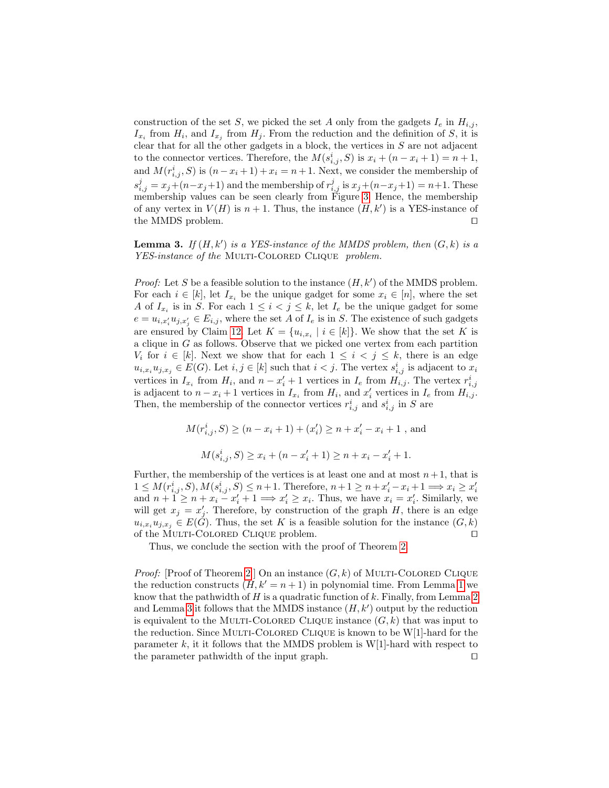construction of the set S, we picked the set A only from the gadgets  $I_e$  in  $H_{i,j}$ ,  $I_{x_i}$  from  $H_i$ , and  $I_{x_j}$  from  $H_j$ . From the reduction and the definition of S, it is clear that for all the other gadgets in a block, the vertices in  $S$  are not adjacent to the connector vertices. Therefore, the  $M(s_{i,j}^i, S)$  is  $x_i + (n - x_i + 1) = n + 1$ , and  $M(r_{i,j}^i, S)$  is  $(n - x_i + 1) + x_i = n + 1$ . Next, we consider the membership of  $s_{i,j}^j = x_j + (n-x_j+1)$  and the membership of  $r_{i,j}^j$  is  $x_j + (n-x_j+1) = n+1$ . These membership values can be seen clearly from Figure [3.](#page-9-0) Hence, the membership of any vertex in  $V(H)$  is  $n + 1$ . Thus, the instance  $(H, k')$  is a YES-instance of the MMDS problem.

<span id="page-12-0"></span>**Lemma 3.** If  $(H, k')$  is a YES-instance of the MMDS problem, then  $(G, k)$  is a YES-instance of the MULTI-COLORED CLIQUE problem.

*Proof:* Let S be a feasible solution to the instance  $(H, k')$  of the MMDS problem. For each  $i \in [k]$ , let  $I_{x_i}$  be the unique gadget for some  $x_i \in [n]$ , where the set A of  $I_{x_i}$  is in S. For each  $1 \leq i < j \leq k$ , let  $I_e$  be the unique gadget for some  $e = u_{i,x'_i} u_{j,x'_j} \in E_{i,j}$ , where the set A of  $I_e$  is in S. The existence of such gadgets are ensured by Claim [12.](#page-10-1) Let  $K = \{u_{i,x_i} \mid i \in [k]\}\.$  We show that the set K is a clique in G as follows. Observe that we picked one vertex from each partition  $V_i$  for  $i \in [k]$ . Next we show that for each  $1 \leq i \leq j \leq k$ , there is an edge  $u_{i,x_i}u_{j,x_j} \in E(G)$ . Let  $i, j \in [k]$  such that  $i < j$ . The vertex  $s_{i,j}^i$  is adjacent to  $x_i$ vertices in  $I_{x_i}$  from  $H_i$ , and  $n - x'_i + 1$  vertices in  $I_e$  from  $H_{i,j}$ . The vertex  $r_{i,j}^i$ is adjacent to  $n - x_i + 1$  vertices in  $I_{x_i}$  from  $H_i$ , and  $x'_i$  vertices in  $I_e$  from  $H_{i,j}$ . Then, the membership of the connector vertices  $r_{i,j}^i$  and  $s_{i,j}^i$  in S are

$$
M(r_{i,j}^i,S) \ge (n-x_i+1) + (x_i') \ge n+x_i'-x_i+1 \text{ , and}
$$
  

$$
M(s_{i,j}^i,S) \ge x_i+(n-x_i'+1) \ge n+x_i-x_i'+1.
$$

Further, the membership of the vertices is at least one and at most  $n+1$ , that is  $1 \leq M(r_{i,j}^i, S), M(s_{i,j}^i, S) \leq n+1$ . Therefore,  $n+1 \geq n+x'_i-x_i+1 \Longrightarrow x_i \geq x'_i$  $\begin{array}{l}\n\text{if } 1 \leq m(r_{i,j},S), m(s_{i,j},S) \leq n+1.\n\text{Therefore, } n+1 \geq n+x_i-x_i+1 \implies x_i \geq x_i,\n\text{and } n+1 \geq n+x_i-x_i'+1 \implies x_i' \geq x_i.\n\end{array}$ will get  $x_j = x'_j$ . Therefore, by construction of the graph H, there is an edge  $u_{i,x_i}u_{j,x_j} \in E(\tilde{G})$ . Thus, the set K is a feasible solution for the instance  $(G, k)$ of the MULTI-COLORED CLIQUE problem.  $\Box$ 

Thus, we conclude the section with the proof of Theorem [2.](#page-1-0)

*Proof:* [Proof of Theorem [2](#page-1-0) ] On an instance  $(G, k)$  of MULTI-COLORED CLIQUE the reduction constructs  $(H, k' = n + 1)$  $(H, k' = n + 1)$  $(H, k' = n + 1)$  in polynomial time. From Lemma 1 we know that the pathwidth of  $H$  is a quadratic function of  $k$ . Finally, from Lemma [2](#page-10-2) and Lemma [3](#page-12-0) it follows that the MMDS instance  $(H, k')$  output by the reduction is equivalent to the MULTI-COLORED CLIQUE instance  $(G, k)$  that was input to the reduction. Since MULTI-COLORED CLIQUE is known to be  $W[1]$ -hard for the parameter  $k$ , it it follows that the MMDS problem is W[1]-hard with respect to the parameter pathwidth of the input graph.  $\Box$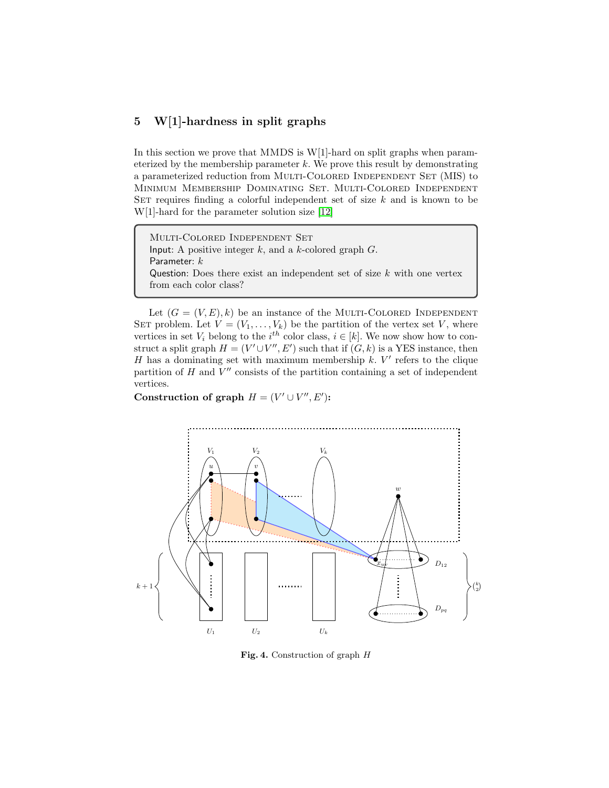# 5 W[1]-hardness in split graphs

In this section we prove that MMDS is W[1]-hard on split graphs when parameterized by the membership parameter  $k$ . We prove this result by demonstrating a parameterized reduction from MULTI-COLORED INDEPENDENT SET (MIS) to Minimum Membership Dominating Set. Multi-Colored Independent SET requires finding a colorful independent set of size  $k$  and is known to be W[1]-hard for the parameter solution size [\[12\]](#page-21-3)

Multi-Colored Independent Set Input: A positive integer  $k$ , and a  $k$ -colored graph  $G$ . Parameter:  $k$ Question: Does there exist an independent set of size  $k$  with one vertex from each color class?

Let  $(G = (V, E), k)$  be an instance of the MULTI-COLORED INDEPENDENT SET problem. Let  $V = (V_1, \ldots, V_k)$  be the partition of the vertex set V, where vertices in set  $V_i$  belong to the  $i^{th}$  color class,  $i \in [k]$ . We now show how to construct a split graph  $H = (V' \cup V'', E')$  such that if  $(G, k)$  is a YES instance, then H has a dominating set with maximum membership  $k$ .  $V'$  refers to the clique partition of  $H$  and  $V''$  consists of the partition containing a set of independent vertices.

Construction of graph  $H = (V' \cup V'', E')$ :



<span id="page-13-0"></span>Fig. 4. Construction of graph H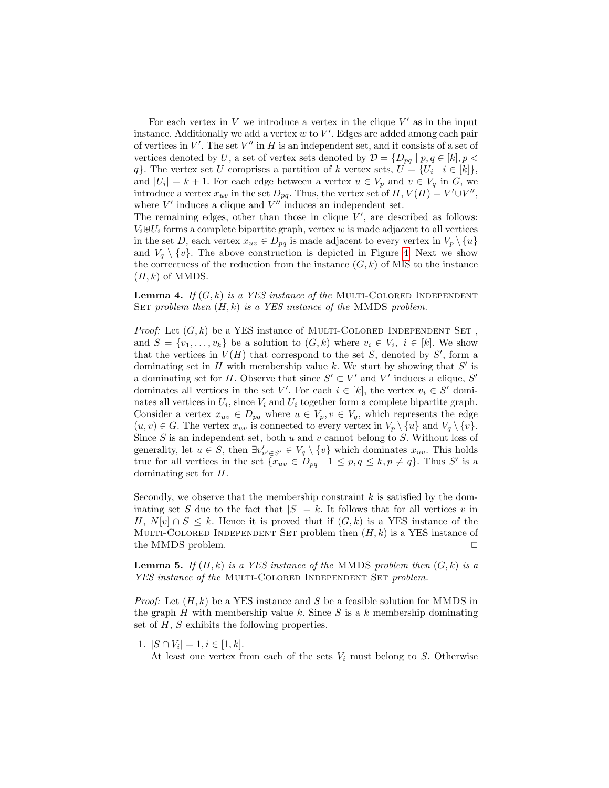For each vertex in  $V$  we introduce a vertex in the clique  $V'$  as in the input instance. Additionally we add a vertex  $w$  to  $V'$ . Edges are added among each pair of vertices in  $V'$ . The set  $V''$  in H is an independent set, and it consists of a set of vertices denoted by U, a set of vertex sets denoted by  $\mathcal{D} = \{D_{pq} \mid p, q \in [k], p \leq \mathcal{D}\}$ q}. The vertex set U comprises a partition of k vertex sets,  $U = \{U_i \mid i \in [k]\},\$ and  $|U_i| = k + 1$ . For each edge between a vertex  $u \in V_p$  and  $v \in V_q$  in G, we introduce a vertex  $x_{uv}$  in the set  $D_{pq}$ . Thus, the vertex set of  $H, V(H) = V' \cup V''$ , where  $V'$  induces a clique and  $V''$  induces an independent set.

The remaining edges, other than those in clique  $V'$ , are described as follows:  $V_i \oplus U_i$  forms a complete bipartite graph, vertex w is made adjacent to all vertices in the set D, each vertex  $x_{uv} \in D_{pq}$  is made adjacent to every vertex in  $V_p \setminus \{u\}$ and  $V_q \setminus \{v\}$ . The above construction is depicted in Figure [4.](#page-13-0) Next we show the correctness of the reduction from the instance  $(G, k)$  of MIS to the instance  $(H, k)$  of MMDS.

<span id="page-14-0"></span>**Lemma 4.** If  $(G, k)$  is a YES instance of the MULTI-COLORED INDEPENDENT SET problem then  $(H, k)$  is a YES instance of the MMDS problem.

*Proof:* Let  $(G, k)$  be a YES instance of MULTI-COLORED INDEPENDENT SET, and  $S = \{v_1, \ldots, v_k\}$  be a solution to  $(G, k)$  where  $v_i \in V_i$ ,  $i \in [k]$ . We show that the vertices in  $V(H)$  that correspond to the set S, denoted by S', form a dominating set in  $H$  with membership value  $k$ . We start by showing that  $S'$  is a dominating set for H. Observe that since  $S' \subset V'$  and V' induces a clique, S' dominates all vertices in the set V'. For each  $i \in [k]$ , the vertex  $v_i \in S'$  dominates all vertices in  $U_i$ , since  $V_i$  and  $U_i$  together form a complete bipartite graph. Consider a vertex  $x_{uv} \in D_{pq}$  where  $u \in V_p$ ,  $v \in V_q$ , which represents the edge  $(u, v) \in G$ . The vertex  $x_{uv}$  is connected to every vertex in  $V_p \setminus \{u\}$  and  $V_q \setminus \{v\}$ . Since  $S$  is an independent set, both  $u$  and  $v$  cannot belong to  $S$ . Without loss of generality, let  $u \in S$ , then  $\exists v'_{v' \in S'} \in V_q \setminus \{v\}$  which dominates  $x_{uv}$ . This holds true for all vertices in the set  $\{x_{uv} \in D_{pq} \mid 1 \leq p, q \leq k, p \neq q\}$ . Thus S' is a dominating set for H.

Secondly, we observe that the membership constraint  $k$  is satisfied by the dominating set S due to the fact that  $|S| = k$ . It follows that for all vertices v in H,  $N[v] \cap S \leq k$ . Hence it is proved that if  $(G, k)$  is a YES instance of the MULTI-COLORED INDEPENDENT SET problem then  $(H, k)$  is a YES instance of the MMDS problem.

<span id="page-14-1"></span>**Lemma 5.** If  $(H, k)$  is a YES instance of the MMDS problem then  $(G, k)$  is a YES instance of the MULTI-COLORED INDEPENDENT SET problem.

*Proof:* Let  $(H, k)$  be a YES instance and S be a feasible solution for MMDS in the graph  $H$  with membership value  $k$ . Since  $S$  is a  $k$  membership dominating set of  $H$ ,  $S$  exhibits the following properties.

1.  $|S \cap V_i| = 1, i \in [1, k].$ 

At least one vertex from each of the sets  $V_i$  must belong to S. Otherwise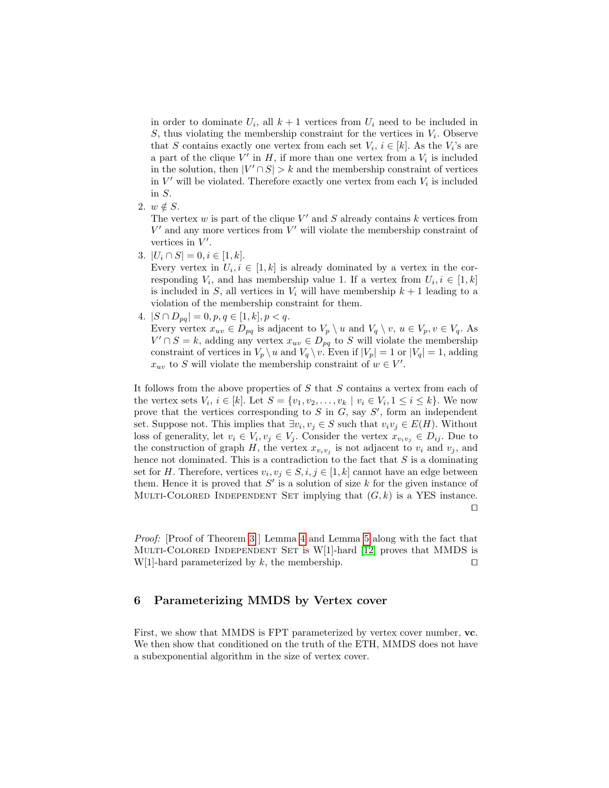in order to dominate  $U_i$ , all  $k+1$  vertices from  $U_i$  need to be included in  $S$ , thus violating the membership constraint for the vertices in  $V_i$ . Observe that S contains exactly one vertex from each set  $V_i$ ,  $i \in [k]$ . As the  $V_i$ 's are a part of the clique  $V'$  in  $H$ , if more than one vertex from a  $V_i$  is included in the solution, then  $|V' \cap S| > k$  and the membership constraint of vertices in  $V'$  will be violated. Therefore exactly one vertex from each  $V_i$  is included in S.

2.  $w \notin S$ .

The vertex  $w$  is part of the clique  $V'$  and  $S$  already contains  $k$  vertices from  $V'$  and any more vertices from  $V'$  will violate the membership constraint of vertices in  $V'$ .

3.  $|U_i \cap S| = 0, i \in [1, k].$ 

Every vertex in  $U_i, i \in [1, k]$  is already dominated by a vertex in the corresponding  $V_i$ , and has membership value 1. If a vertex from  $U_i, i \in [1, k]$ is included in S, all vertices in  $V_i$  will have membership  $k + 1$  leading to a violation of the membership constraint for them.

4.  $|S \cap D_{pq}| = 0, p, q \in [1, k], p < q.$ Every vertex  $x_{uv} \in D_{pq}$  is adjacent to  $V_p \setminus u$  and  $V_q \setminus v$ ,  $u \in V_p, v \in V_q$ . As  $V' \cap S = k$ , adding any vertex  $x_{uv} \in D_{pq}$  to S will violate the membership constraint of vertices in  $V_p \setminus u$  and  $V_q \setminus v$ . Even if  $|V_p| = 1$  or  $|V_q| = 1$ , adding  $x_{uv}$  to S will violate the membership constraint of  $w \in V'$ .

It follows from the above properties of S that S contains a vertex from each of the vertex sets  $V_i$ ,  $i \in [k]$ . Let  $S = \{v_1, v_2, \ldots, v_k \mid v_i \in V_i, 1 \le i \le k\}$ . We now prove that the vertices corresponding to  $S$  in  $G$ , say  $S'$ , form an independent set. Suppose not. This implies that  $\exists v_i, v_j \in S$  such that  $v_i v_j \in E(H)$ . Without loss of generality, let  $v_i \in V_i$ ,  $v_j \in V_j$ . Consider the vertex  $x_{v_i v_j} \in D_{ij}$ . Due to the construction of graph H, the vertex  $x_{v_i v_j}$  is not adjacent to  $v_i$  and  $v_j$ , and hence not dominated. This is a contradiction to the fact that  $S$  is a dominating set for H. Therefore, vertices  $v_i, v_j \in S, i, j \in [1, k]$  cannot have an edge between them. Hence it is proved that  $S'$  is a solution of size k for the given instance of MULTI-COLORED INDEPENDENT SET implying that  $(G, k)$  is a YES instance.  $\Box$ 

Proof: [Proof of Theorem [3](#page-2-1) ] Lemma [4](#page-14-0) and Lemma [5](#page-14-1) along with the fact that MULTI-COLORED INDEPENDENT SET is  $W[1]$ -hard  $[12]$  proves that MMDS is W[1]-hard parameterized by k, the membership.  $\square$ 

# 6 Parameterizing MMDS by Vertex cover

First, we show that MMDS is FPT parameterized by vertex cover number, vc. We then show that conditioned on the truth of the ETH, MMDS does not have a subexponential algorithm in the size of vertex cover.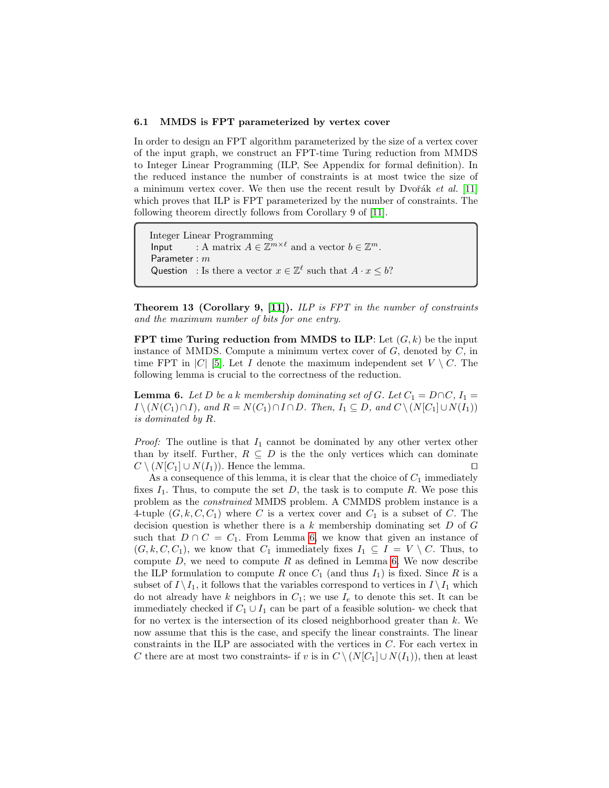#### 6.1 MMDS is FPT parameterized by vertex cover

In order to design an FPT algorithm parameterized by the size of a vertex cover of the input graph, we construct an FPT-time Turing reduction from MMDS to Integer Linear Programming (ILP, See Appendix for formal definition). In the reduced instance the number of constraints is at most twice the size of a minimum vertex cover. We then use the recent result by Dvořák et al.  $[11]$ which proves that ILP is FPT parameterized by the number of constraints. The following theorem directly follows from Corollary 9 of [\[11\]](#page-20-10).

Integer Linear Programming Input : A matrix  $A \in \mathbb{Z}^{m \times \ell}$  and a vector  $b \in \mathbb{Z}^m$ . Parameter : m Question : Is there a vector  $x \in \mathbb{Z}^{\ell}$  such that  $A \cdot x \leq b$ ?

<span id="page-16-1"></span>Theorem 13 (Corollary 9, [\[11\]](#page-20-10)). ILP is FPT in the number of constraints and the maximum number of bits for one entry.

FPT time Turing reduction from MMDS to ILP: Let  $(G, k)$  be the input instance of MMDS. Compute a minimum vertex cover of  $G$ , denoted by  $C$ , in time FPT in |C| [\[5\]](#page-20-0). Let I denote the maximum independent set  $V \setminus C$ . The following lemma is crucial to the correctness of the reduction.

<span id="page-16-0"></span>**Lemma 6.** Let D be a k membership dominating set of G. Let  $C_1 = D \cap C$ ,  $I_1 =$  $I \setminus (N(C_1) \cap I)$ , and  $R = N(C_1) \cap I \cap D$ . Then,  $I_1 \subseteq D$ , and  $C \setminus (N[C_1] \cup N(I_1))$ is dominated by R.

*Proof:* The outline is that  $I_1$  cannot be dominated by any other vertex other than by itself. Further,  $R \subseteq D$  is the the only vertices which can dominate  $C \setminus (N[C_1] \cup N(I_1))$ . Hence the lemma.

As a consequence of this lemma, it is clear that the choice of  $C_1$  immediately fixes  $I_1$ . Thus, to compute the set D, the task is to compute R. We pose this problem as the constrained MMDS problem. A CMMDS problem instance is a 4-tuple  $(G, k, C, C_1)$  where C is a vertex cover and  $C_1$  is a subset of C. The decision question is whether there is a  $k$  membership dominating set  $D$  of  $G$ such that  $D \cap C = C_1$ . From Lemma [6,](#page-16-0) we know that given an instance of  $(G, k, C, C_1)$ , we know that  $C_1$  immediately fixes  $I_1 \subseteq I = V \setminus C$ . Thus, to compute  $D$ , we need to compute  $R$  as defined in Lemma [6.](#page-16-0) We now describe the ILP formulation to compute R once  $C_1$  (and thus  $I_1$ ) is fixed. Since R is a subset of  $I \setminus I_1$ , it follows that the variables correspond to vertices in  $I \setminus I_1$  which do not already have k neighbors in  $C_1$ ; we use  $I_e$  to denote this set. It can be immediately checked if  $C_1 \cup I_1$  can be part of a feasible solution- we check that for no vertex is the intersection of its closed neighborhood greater than  $k$ . We now assume that this is the case, and specify the linear constraints. The linear constraints in the ILP are associated with the vertices in C. For each vertex in C there are at most two constraints- if v is in  $C \setminus (N[C_1] \cup N(I_1))$ , then at least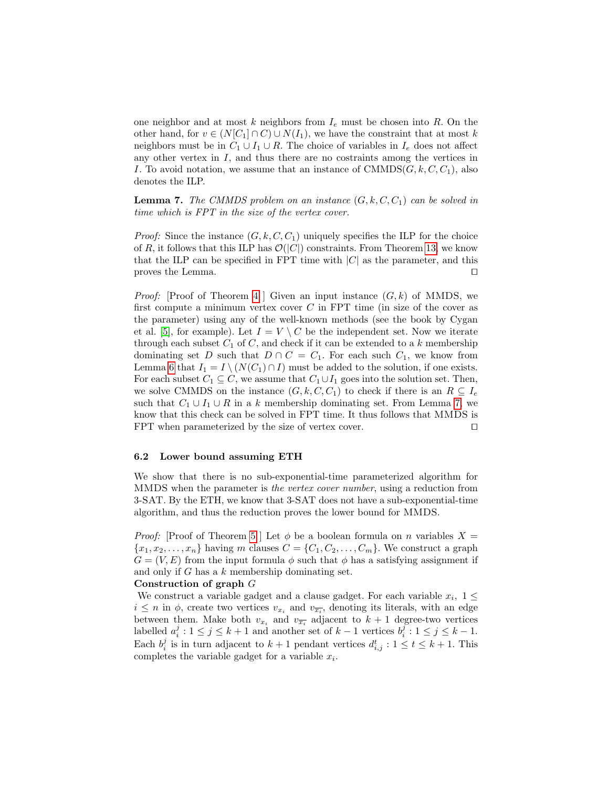one neighbor and at most k neighbors from  $I_e$  must be chosen into R. On the other hand, for  $v \in (N[C_1] \cap C) \cup N(I_1)$ , we have the constraint that at most k neighbors must be in  $C_1 \cup I_1 \cup R$ . The choice of variables in  $I_e$  does not affect any other vertex in  $I$ , and thus there are no costraints among the vertices in I. To avoid notation, we assume that an instance of  $\text{CMMDS}(G, k, C, C_1)$ , also denotes the ILP.

<span id="page-17-0"></span>**Lemma 7.** The CMMDS problem on an instance  $(G, k, C, C_1)$  can be solved in time which is FPT in the size of the vertex cover.

*Proof:* Since the instance  $(G, k, C, C_1)$  uniquely specifies the ILP for the choice of R, it follows that this ILP has  $\mathcal{O}(|C|)$  constraints. From Theorem [13,](#page-16-1) we know that the ILP can be specified in FPT time with  $|C|$  as the parameter, and this proves the Lemma.  $\Box$ 

*Proof:* [Proof of Theorem [4](#page-2-0) ] Given an input instance  $(G, k)$  of MMDS, we first compute a minimum vertex cover  $C$  in FPT time (in size of the cover as the parameter) using any of the well-known methods (see the book by Cygan et al. [\[5\]](#page-20-0), for example). Let  $I = V \setminus C$  be the independent set. Now we iterate through each subset  $C_1$  of  $C$ , and check if it can be extended to a k membership dominating set D such that  $D \cap C = C_1$ . For each such  $C_1$ , we know from Lemma [6](#page-16-0) that  $I_1 = I \setminus (N(C_1) \cap I)$  must be added to the solution, if one exists. For each subset  $C_1 \subseteq C$ , we assume that  $C_1 \cup I_1$  goes into the solution set. Then, we solve CMMDS on the instance  $(G, k, C, C_1)$  to check if there is an  $R \subseteq I_e$ such that  $C_1 \cup I_1 \cup R$  in a k membership dominating set. From Lemma [7,](#page-17-0) we know that this check can be solved in FPT time. It thus follows that MMDS is FPT when parameterized by the size of vertex cover.  $\Box$ 

#### 6.2 Lower bound assuming ETH

We show that there is no sub-exponential-time parameterized algorithm for MMDS when the parameter is the vertex cover number, using a reduction from 3-SAT. By the ETH, we know that 3-SAT does not have a sub-exponential-time algorithm, and thus the reduction proves the lower bound for MMDS.

*Proof:* [Proof of Theorem [5](#page-2-2) ] Let  $\phi$  be a boolean formula on n variables  $X =$  ${x_1, x_2, \ldots, x_n}$  having m clauses  $C = {C_1, C_2, \ldots, C_m}$ . We construct a graph  $G = (V, E)$  from the input formula  $\phi$  such that  $\phi$  has a satisfying assignment if and only if  $G$  has a  $k$  membership dominating set.

### Construction of graph G

We construct a variable gadget and a clause gadget. For each variable  $x_i$ ,  $1 \leq$  $i \leq n$  in  $\phi$ , create two vertices  $v_{x_i}$  and  $v_{\overline{x_i}}$ , denoting its literals, with an edge between them. Make both  $v_{x_i}$  and  $v_{\overline{x_i}}$  adjacent to  $k+1$  degree-two vertices labelled  $a_i^j : 1 \le j \le k+1$  and another set of  $k-1$  vertices  $b_i^j : 1 \le j \le k-1$ . Each  $b_i^j$  is in turn adjacent to  $k+1$  pendant vertices  $d_{i,j}^t : 1 \le t \le k+1$ . This completes the variable gadget for a variable  $x_i$ .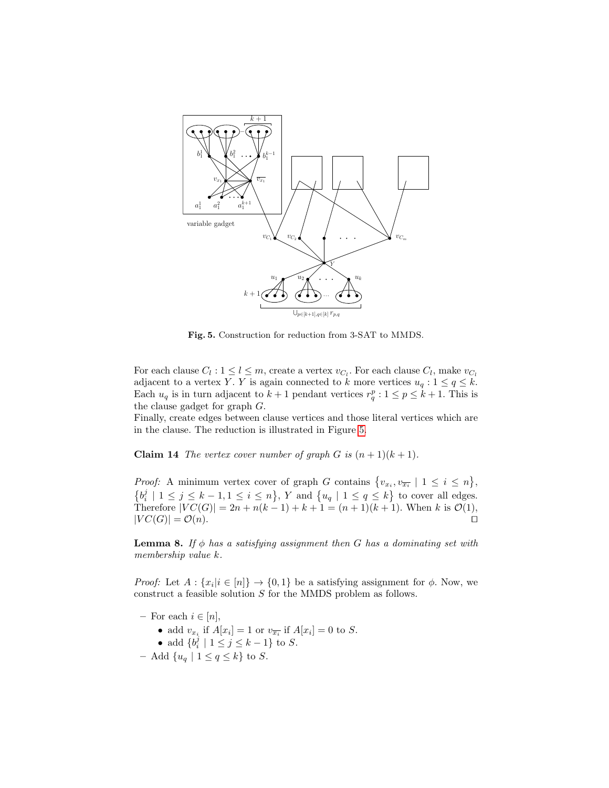

<span id="page-18-0"></span>Fig. 5. Construction for reduction from 3-SAT to MMDS.

For each clause  $C_l : 1 \leq l \leq m$ , create a vertex  $v_{C_l}$ . For each clause  $C_l$ , make  $v_{C_l}$ adjacent to a vertex Y. Y is again connected to k more vertices  $u_q: 1 \le q \le k$ . Each  $u_q$  is in turn adjacent to  $k+1$  pendant vertices  $r_q^p : 1 \leq p \leq k+1$ . This is the clause gadget for graph G.

Finally, create edges between clause vertices and those literal vertices which are in the clause. The reduction is illustrated in Figure [5.](#page-18-0)

**Claim 14** The vertex cover number of graph G is  $(n + 1)(k + 1)$ .

*Proof:* A minimum vertex cover of graph G contains  $\{v_{x_i}, v_{\overline{x_i}} \mid 1 \leq i \leq n\}$ ,  $\{b_i^j \mid 1 \leq j \leq k-1, 1 \leq i \leq n\}, Y$  and  $\{u_q \mid 1 \leq q \leq k\}$  to cover all edges. Therefore  $|VC(G)| = 2n + n(k-1) + k + 1 = (n+1)(k+1)$ . When k is  $\mathcal{O}(1)$ ,  $|VC(G)| = \mathcal{O}(n).$ 

<span id="page-18-1"></span>**Lemma 8.** If  $\phi$  has a satisfying assignment then G has a dominating set with membership value k.

*Proof:* Let  $A: \{x_i | i \in [n]\} \rightarrow \{0, 1\}$  be a satisfying assignment for  $\phi$ . Now, we construct a feasible solution S for the MMDS problem as follows.

- For each  $i \in [n]$ ,
	- add  $v_{x_i}$  if  $A[x_i] = 1$  or  $v_{\overline{x_i}}$  if  $A[x_i] = 0$  to S.
	- add  $\{b_i^j \mid 1 \le j \le k-1\}$  to S.
- Add  $\{u_q \mid 1 \leq q \leq k\}$  to S.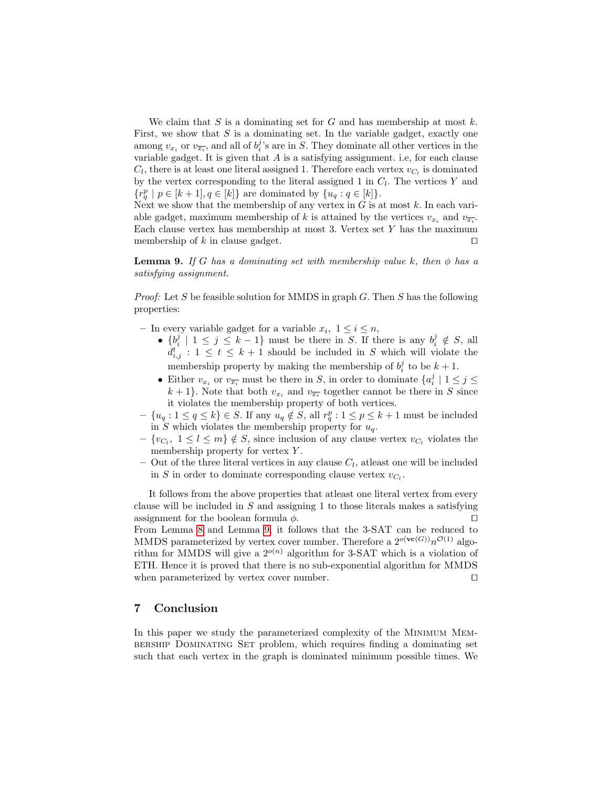We claim that S is a dominating set for G and has membership at most  $k$ . First, we show that  $S$  is a dominating set. In the variable gadget, exactly one among  $v_{x_i}$  or  $v_{\overline{x_i}}$ , and all of  $b_i^j$ 's are in S. They dominate all other vertices in the variable gadget. It is given that  $A$  is a satisfying assignment. i.e, for each clause  $C_l$ , there is at least one literal assigned 1. Therefore each vertex  $v_{C_l}$  is dominated by the vertex corresponding to the literal assigned 1 in  $C_l$ . The vertices Y and  ${r_q^p \mid p \in [k+1], q \in [k]}$  are dominated by  ${u_q : q \in [k]}$ .

Next we show that the membership of any vertex in  $G$  is at most  $k$ . In each variable gadget, maximum membership of k is attained by the vertices  $v_{x_i}$  and  $v_{\overline{x_i}}$ . Each clause vertex has membership at most 3. Vertex set  $Y$  has the maximum membership of k in clause gadget.  $\square$ 

<span id="page-19-0"></span>**Lemma 9.** If G has a dominating set with membership value k, then  $\phi$  has a satisfying assignment.

*Proof:* Let S be feasible solution for MMDS in graph G. Then S has the following properties:

- In every variable gadget for a variable  $x_i, 1 \leq i \leq n$ ,
	- $\{b_i^j \mid 1 \leq j \leq k-1\}$  must be there in S. If there is any  $b_i^j \notin S$ , all  $d_{i,j}^t : 1 \leq t \leq k+1$  should be included in S which will violate the membership property by making the membership of  $b_i^j$  to be  $k+1$ .
	- Either  $v_{x_i}$  or  $v_{\overline{x_i}}$  must be there in S, in order to dominate  $\{a_i^j \mid 1 \leq j \leq n\}$  $k+1$ . Note that both  $v_{x_i}$  and  $v_{\overline{x_i}}$  together cannot be there in S since it violates the membership property of both vertices.
- $\{u_q : 1 \leq q \leq k\} \in S$ . If any  $u_q \notin S$ , all  $r_q^p : 1 \leq p \leq k+1$  must be included in S which violates the membership property for  $u_q$ .
- $\{v_{C_l}, 1 \leq l \leq m\} \notin S$ , since inclusion of any clause vertex  $v_{C_l}$  violates the membership property for vertex Y.
- $-$  Out of the three literal vertices in any clause  $C_l$ , at least one will be included in S in order to dominate corresponding clause vertex  $v_{C_l}$ .

It follows from the above properties that atleast one literal vertex from every clause will be included in  $S$  and assigning 1 to those literals makes a satisfying assignment for the boolean formula  $\phi$ . From Lemma [8](#page-18-1) and Lemma [9,](#page-19-0) it follows that the 3-SAT can be reduced to MMDS parameterized by vertex cover number. Therefore a  $2^{o(\mathbf{vc}(G))}n^{\mathcal{O}(1)}$  algorithm for MMDS will give a  $2^{o(n)}$  algorithm for 3-SAT which is a violation of ETH. Hence it is proved that there is no sub-exponential algorithm for MMDS when parameterized by vertex cover number.  $\square$ 

# 7 Conclusion

In this paper we study the parameterized complexity of the Minimum Membership Dominating Set problem, which requires finding a dominating set such that each vertex in the graph is dominated minimum possible times. We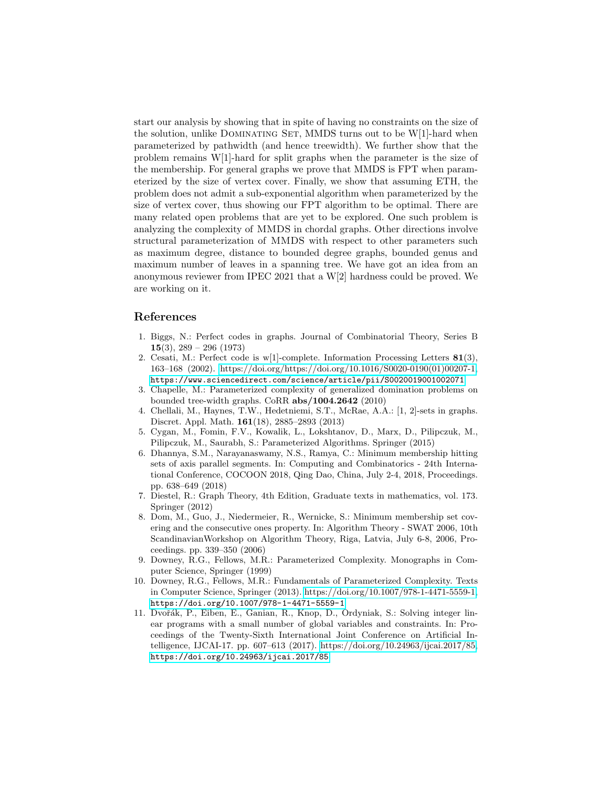start our analysis by showing that in spite of having no constraints on the size of the solution, unlike DOMINATING SET, MMDS turns out to be W[1]-hard when parameterized by pathwidth (and hence treewidth). We further show that the problem remains W[1]-hard for split graphs when the parameter is the size of the membership. For general graphs we prove that MMDS is FPT when parameterized by the size of vertex cover. Finally, we show that assuming ETH, the problem does not admit a sub-exponential algorithm when parameterized by the size of vertex cover, thus showing our FPT algorithm to be optimal. There are many related open problems that are yet to be explored. One such problem is analyzing the complexity of MMDS in chordal graphs. Other directions involve structural parameterization of MMDS with respect to other parameters such as maximum degree, distance to bounded degree graphs, bounded genus and maximum number of leaves in a spanning tree. We have got an idea from an anonymous reviewer from IPEC 2021 that a W[2] hardness could be proved. We are working on it.

# References

- <span id="page-20-3"></span>1. Biggs, N.: Perfect codes in graphs. Journal of Combinatorial Theory, Series B 15(3),  $289 - 296$  (1973)
- <span id="page-20-4"></span>2. Cesati, M.: Perfect code is w[1]-complete. Information Processing Letters 81(3), 163–168 (2002). [https://doi.org/https://doi.org/10.1016/S0020-0190\(01\)00207-1,](https://doi.org/https://doi.org/10.1016/S0020-0190(01)00207-1) <https://www.sciencedirect.com/science/article/pii/S0020019001002071>
- <span id="page-20-5"></span>3. Chapelle, M.: Parameterized complexity of generalized domination problems on bounded tree-width graphs. CoRR abs/1004.2642 (2010)
- <span id="page-20-6"></span>4. Chellali, M., Haynes, T.W., Hedetniemi, S.T., McRae, A.A.: [1, 2]-sets in graphs. Discret. Appl. Math. 161(18), 2885–2893 (2013)
- <span id="page-20-0"></span>5. Cygan, M., Fomin, F.V., Kowalik, L., Lokshtanov, D., Marx, D., Pilipczuk, M., Pilipczuk, M., Saurabh, S.: Parameterized Algorithms. Springer (2015)
- <span id="page-20-2"></span>6. Dhannya, S.M., Narayanaswamy, N.S., Ramya, C.: Minimum membership hitting sets of axis parallel segments. In: Computing and Combinatorics - 24th International Conference, COCOON 2018, Qing Dao, China, July 2-4, 2018, Proceedings. pp. 638–649 (2018)
- <span id="page-20-7"></span>7. Diestel, R.: Graph Theory, 4th Edition, Graduate texts in mathematics, vol. 173. Springer (2012)
- <span id="page-20-1"></span>8. Dom, M., Guo, J., Niedermeier, R., Wernicke, S.: Minimum membership set covering and the consecutive ones property. In: Algorithm Theory - SWAT 2006, 10th ScandinavianWorkshop on Algorithm Theory, Riga, Latvia, July 6-8, 2006, Proceedings. pp. 339–350 (2006)
- <span id="page-20-9"></span>9. Downey, R.G., Fellows, M.R.: Parameterized Complexity. Monographs in Computer Science, Springer (1999)
- <span id="page-20-8"></span>10. Downey, R.G., Fellows, M.R.: Fundamentals of Parameterized Complexity. Texts in Computer Science, Springer (2013). [https://doi.org/10.1007/978-1-4471-5559-1,](https://doi.org/10.1007/978-1-4471-5559-1) <https://doi.org/10.1007/978-1-4471-5559-1>
- <span id="page-20-10"></span>11. Dvořák, P., Eiben, E., Ganian, R., Knop, D., Ordyniak, S.: Solving integer linear programs with a small number of global variables and constraints. In: Proceedings of the Twenty-Sixth International Joint Conference on Artificial Intelligence, IJCAI-17. pp. 607–613 (2017). [https://doi.org/10.24963/ijcai.2017/85,](https://doi.org/10.24963/ijcai.2017/85) <https://doi.org/10.24963/ijcai.2017/85>